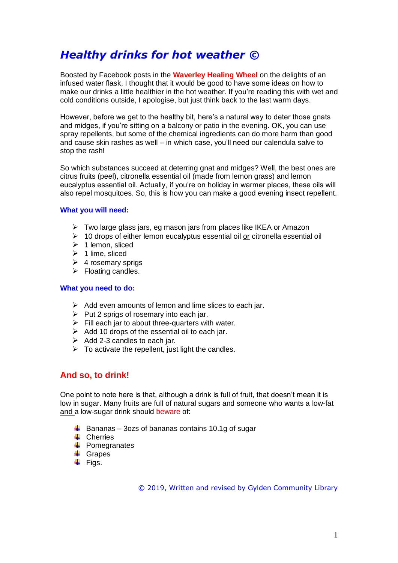# *Healthy drinks for hot weather ©*

Boosted by Facebook posts in the **Waverley Healing Wheel** on the delights of an infused water flask, I thought that it would be good to have some ideas on how to make our drinks a little healthier in the hot weather. If you're reading this with wet and cold conditions outside, I apologise, but just think back to the last warm days.

However, before we get to the healthy bit, here's a natural way to deter those gnats and midges, if you're sitting on a balcony or patio in the evening. OK, you can use spray repellents, but some of the chemical ingredients can do more harm than good and cause skin rashes as well – in which case, you'll need our calendula salve to stop the rash!

So which substances succeed at deterring gnat and midges? Well, the best ones are citrus fruits (peel), citronella essential oil (made from lemon grass) and lemon eucalyptus essential oil. Actually, if you're on holiday in warmer places, these oils will also repel mosquitoes. So, this is how you can make a good evening insect repellent.

## **What you will need:**

- ➢ Two large glass jars, eg mason jars from places like IKEA or Amazon
- $\geq 10$  drops of either lemon eucalyptus essential oil or citronella essential oil
- ➢ 1 lemon, sliced
- $\geq 1$  lime, sliced
- $\geq 4$  rosemary sprigs
- $\triangleright$  Floating candles.

#### **What you need to do:**

- $\triangleright$  Add even amounts of lemon and lime slices to each jar.
- $\triangleright$  Put 2 sprigs of rosemary into each jar.
- $\triangleright$  Fill each jar to about three-quarters with water.
- $\triangleright$  Add 10 drops of the essential oil to each jar.
- $\triangleright$  Add 2-3 candles to each jar.
- $\triangleright$  To activate the repellent, just light the candles.

## **And so, to drink!**

One point to note here is that, although a drink is full of fruit, that doesn't mean it is low in sugar. Many fruits are full of natural sugars and someone who wants a low-fat and a low-sugar drink should beware of:

- $\ddot{+}$  Bananas 3ozs of bananas contains 10.1g of sugar
- **↓** Cherries
- $\leftarrow$  Pomegranates
- **↓** Grapes
- $\overline{\phantom{a}}$  Figs.

© 2019, Written and revised by Gylden Community Library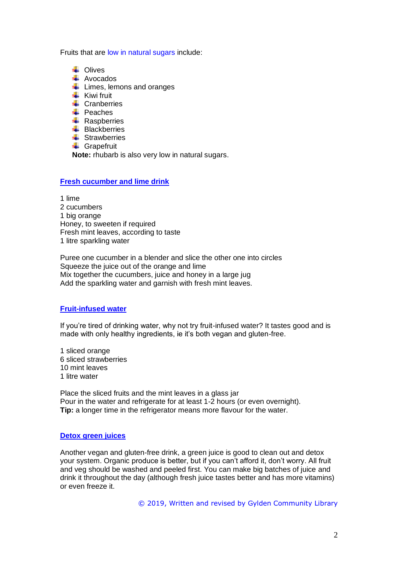Fruits that are low in natural sugars include:

- **L** Olives
- **↓** Avocados
- $\frac{1}{\sqrt{2}}$  Limes, lemons and oranges
- $\leftarrow$  Kiwi fruit
- $\perp$  Cranberries
- $\overline{\phantom{a}}$  Peaches
- $\leftarrow$  Raspberries
- $\leftarrow$  Blackberries
- **E** Strawberries
- **↓** Grapefruit

**Note:** rhubarb is also very low in natural sugars.

#### **Fresh cucumber and lime drink**

1 lime 2 cucumbers 1 big orange Honey, to sweeten if required Fresh mint leaves, according to taste 1 litre sparkling water

Puree one cucumber in a blender and slice the other one into circles Squeeze the juice out of the orange and lime Mix together the cucumbers, juice and honey in a large jug Add the sparkling water and garnish with fresh mint leaves.

#### **Fruit-infused water**

If you're tired of drinking water, why not try fruit-infused water? It tastes good and is made with only healthy ingredients, ie it's both vegan and gluten-free.

1 sliced orange 6 sliced strawberries 10 mint leaves 1 litre water

Place the sliced fruits and the mint leaves in a glass jar Pour in the water and refrigerate for at least 1-2 hours (or even overnight). **Tip:** a longer time in the refrigerator means more flavour for the water.

#### **Detox green juices**

Another vegan and gluten-free drink, a green juice is good to clean out and detox your system. Organic produce is better, but if you can't afford it, don't worry. All fruit and veg should be washed and peeled first. You can make big batches of juice and drink it throughout the day (although fresh juice tastes better and has more vitamins) or even freeze it.

© 2019, Written and revised by Gylden Community Library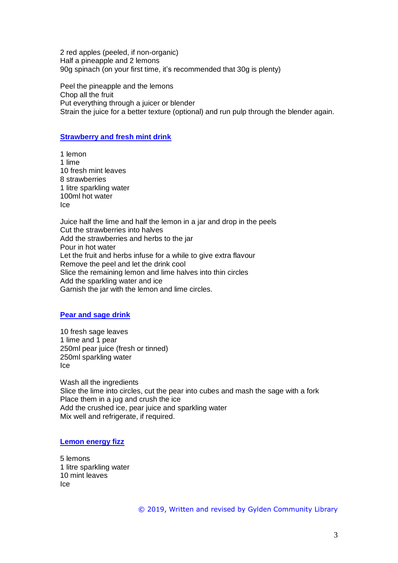2 red apples (peeled, if non-organic) Half a pineapple and 2 lemons 90g spinach (on your first time, it's recommended that 30g is plenty)

Peel the pineapple and the lemons Chop all the fruit Put everything through a juicer or blender Strain the juice for a better texture (optional) and run pulp through the blender again.

## **Strawberry and fresh mint drink**

1 lemon 1 lime 10 fresh mint leaves 8 strawberries 1 litre sparkling water 100ml hot water Ice

Juice half the lime and half the lemon in a jar and drop in the peels Cut the strawberries into halves Add the strawberries and herbs to the jar Pour in hot water Let the fruit and herbs infuse for a while to give extra flavour Remove the peel and let the drink cool Slice the remaining lemon and lime halves into thin circles Add the sparkling water and ice Garnish the jar with the lemon and lime circles.

## **Pear and sage drink**

10 fresh sage leaves 1 lime and 1 pear 250ml pear juice (fresh or tinned) 250ml sparkling water Ice

Wash all the ingredients Slice the lime into circles, cut the pear into cubes and mash the sage with a fork Place them in a jug and crush the ice Add the crushed ice, pear juice and sparkling water Mix well and refrigerate, if required.

## **Lemon energy fizz**

5 lemons 1 litre sparkling water 10 mint leaves Ice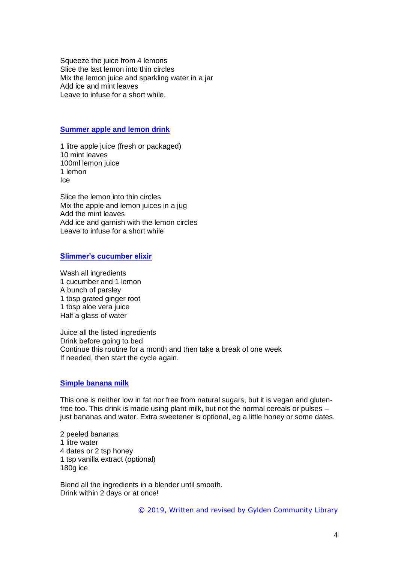Squeeze the juice from 4 lemons Slice the last lemon into thin circles Mix the lemon juice and sparkling water in a jar Add ice and mint leaves Leave to infuse for a short while.

#### **Summer apple and lemon drink**

1 litre apple juice (fresh or packaged) 10 mint leaves 100ml lemon juice 1 lemon Ice

Slice the lemon into thin circles Mix the apple and lemon juices in a jug Add the mint leaves Add ice and garnish with the lemon circles Leave to infuse for a short while

### **Slimmer's cucumber elixir**

Wash all ingredients 1 cucumber and 1 lemon A bunch of parsley 1 tbsp grated ginger root 1 tbsp aloe vera juice Half a glass of water

Juice all the listed ingredients Drink before going to bed Continue this routine for a month and then take a break of one week If needed, then start the cycle again.

## **Simple banana milk**

This one is neither low in fat nor free from natural sugars, but it is vegan and glutenfree too. This drink is made using plant milk, but not the normal cereals or pulses – just bananas and water. Extra sweetener is optional, eg a little honey or some dates.

2 peeled bananas 1 litre water 4 dates or 2 tsp honey 1 tsp vanilla extract (optional) 180g ice

Blend all the ingredients in a blender until smooth. Drink within 2 days or at once!

© 2019, Written and revised by Gylden Community Library